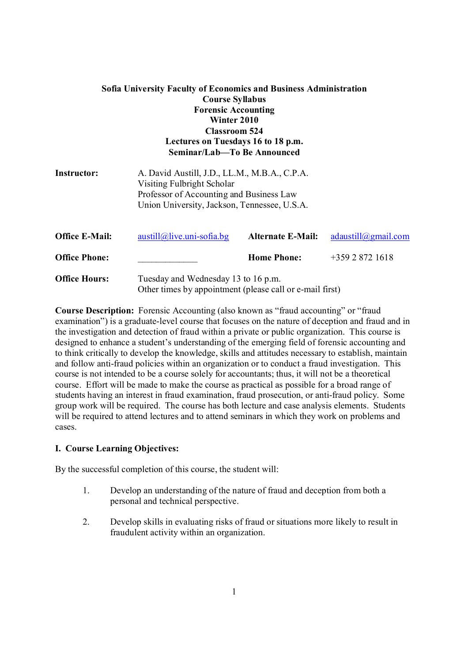| Sofia University Faculty of Economics and Business Administration<br><b>Course Syllabus</b><br><b>Forensic Accounting</b><br>Winter 2010<br><b>Classroom 524</b><br>Lectures on Tuesdays 16 to 18 p.m.<br>Seminar/Lab-To Be Announced |                                                                                                                                                                         |                          |                     |  |  |
|---------------------------------------------------------------------------------------------------------------------------------------------------------------------------------------------------------------------------------------|-------------------------------------------------------------------------------------------------------------------------------------------------------------------------|--------------------------|---------------------|--|--|
| Instructor:                                                                                                                                                                                                                           | A. David Austill, J.D., LL.M., M.B.A., C.P.A.<br>Visiting Fulbright Scholar<br>Professor of Accounting and Business Law<br>Union University, Jackson, Tennessee, U.S.A. |                          |                     |  |  |
| <b>Office E-Mail:</b>                                                                                                                                                                                                                 | $austill@live.uni-sofia.bg$                                                                                                                                             | <b>Alternate E-Mail:</b> | adaustill@gmail.com |  |  |
| <b>Office Phone:</b>                                                                                                                                                                                                                  |                                                                                                                                                                         | <b>Home Phone:</b>       | $+35928721618$      |  |  |
| <b>Office Hours:</b>                                                                                                                                                                                                                  | Tuesday and Wednesday 13 to 16 p.m.<br>Other times by appointment (please call or e-mail first)                                                                         |                          |                     |  |  |

**Course Description:** Forensic Accounting (also known as "fraud accounting" or "fraud examination") is a graduate-level course that focuses on the nature of deception and fraud and in the investigation and detection of fraud within a private or public organization. This course is designed to enhance a student's understanding of the emerging field of forensic accounting and to think critically to develop the knowledge, skills and attitudes necessary to establish, maintain and follow anti-fraud policies within an organization or to conduct a fraud investigation. This course is not intended to be a course solely for accountants; thus, it will not be a theoretical course. Effort will be made to make the course as practical as possible for a broad range of students having an interest in fraud examination, fraud prosecution, or anti-fraud policy. Some group work will be required. The course has both lecture and case analysis elements. Students will be required to attend lectures and to attend seminars in which they work on problems and cases.

# **I. Course Learning Objectives:**

By the successful completion of this course, the student will:

- 1. Develop an understanding of the nature of fraud and deception from both a personal and technical perspective.
- 2. Develop skills in evaluating risks of fraud or situations more likely to result in fraudulent activity within an organization.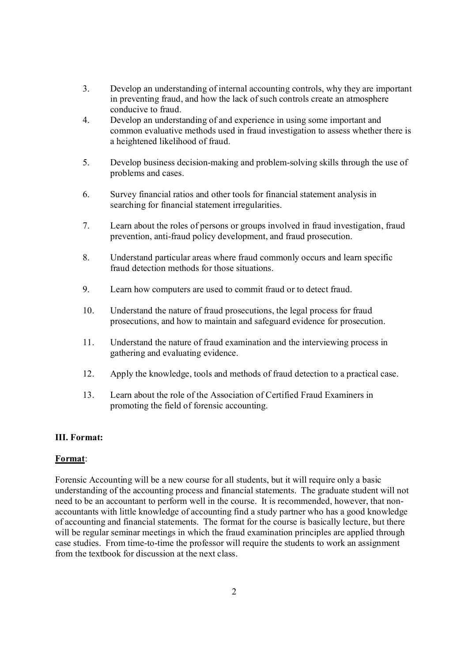- 3. Develop an understanding of internal accounting controls, why they are important in preventing fraud, and how the lack of such controls create an atmosphere conducive to fraud.
- 4. Develop an understanding of and experience in using some important and common evaluative methods used in fraud investigation to assess whether there is a heightened likelihood of fraud.
- 5. Develop business decision-making and problem-solving skills through the use of problems and cases.
- 6. Survey financial ratios and other tools for financial statement analysis in searching for financial statement irregularities.
- 7. Learn about the roles of persons or groups involved in fraud investigation, fraud prevention, anti-fraud policy development, and fraud prosecution.
- 8. Understand particular areas where fraud commonly occurs and learn specific fraud detection methods for those situations.
- 9. Learn how computers are used to commit fraud or to detect fraud.
- 10. Understand the nature of fraud prosecutions, the legal process for fraud prosecutions, and how to maintain and safeguard evidence for prosecution.
- 11. Understand the nature of fraud examination and the interviewing process in gathering and evaluating evidence.
- 12. Apply the knowledge, tools and methods of fraud detection to a practical case.
- 13. Learn about the role of the Association of Certified Fraud Examiners in promoting the field of forensic accounting.

## **III. Format:**

# **Format**:

Forensic Accounting will be a new course for all students, but it will require only a basic understanding of the accounting process and financial statements. The graduate student will not need to be an accountant to perform well in the course. It is recommended, however, that nonaccountants with little knowledge of accounting find a study partner who has a good knowledge of accounting and financial statements. The format for the course is basically lecture, but there will be regular seminar meetings in which the fraud examination principles are applied through case studies. From time-to-time the professor will require the students to work an assignment from the textbook for discussion at the next class.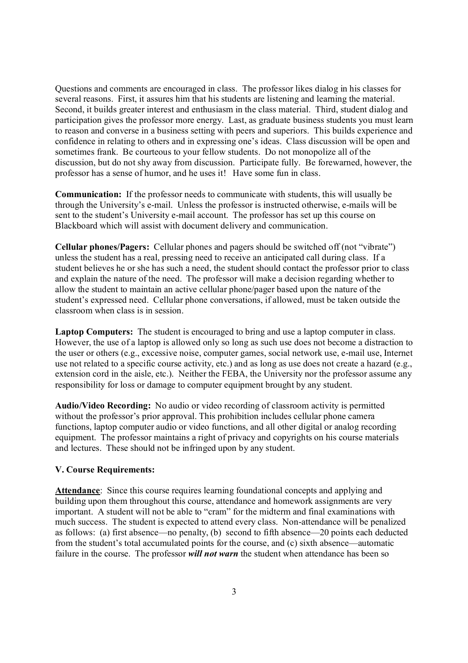Questions and comments are encouraged in class. The professor likes dialog in his classes for several reasons. First, it assures him that his students are listening and learning the material. Second, it builds greater interest and enthusiasm in the class material. Third, student dialog and participation gives the professor more energy. Last, as graduate business students you must learn to reason and converse in a business setting with peers and superiors. This builds experience and confidence in relating to others and in expressing one's ideas. Class discussion will be open and sometimes frank. Be courteous to your fellow students. Do not monopolize all of the discussion, but do not shy away from discussion. Participate fully. Be forewarned, however, the professor has a sense of humor, and he uses it! Have some fun in class.

**Communication:** If the professor needs to communicate with students, this will usually be through the University's e-mail. Unless the professor is instructed otherwise, e-mails will be sent to the student's University e-mail account. The professor has set up this course on Blackboard which will assist with document delivery and communication.

**Cellular phones/Pagers:** Cellular phones and pagers should be switched off (not "vibrate") unless the student has a real, pressing need to receive an anticipated call during class. If a student believes he or she has such a need, the student should contact the professor prior to class and explain the nature of the need. The professor will make a decision regarding whether to allow the student to maintain an active cellular phone/pager based upon the nature of the student's expressed need. Cellular phone conversations, if allowed, must be taken outside the classroom when class is in session.

Laptop Computers: The student is encouraged to bring and use a laptop computer in class. However, the use of a laptop is allowed only so long as such use does not become a distraction to the user or others (e.g., excessive noise, computer games, social network use, e-mail use, Internet use not related to a specific course activity, etc.) and as long as use does not create a hazard (e.g., extension cord in the aisle, etc.). Neither the FEBA, the University nor the professor assume any responsibility for loss or damage to computer equipment brought by any student.

**Audio/Video Recording:** No audio or video recording of classroom activity is permitted without the professor's prior approval. This prohibition includes cellular phone camera functions, laptop computer audio or video functions, and all other digital or analog recording equipment. The professor maintains a right of privacy and copyrights on his course materials and lectures. These should not be infringed upon by any student.

## **V. Course Requirements:**

**Attendance**: Since this course requires learning foundational concepts and applying and building upon them throughout this course, attendance and homework assignments are very important. A student will not be able to "cram" for the midterm and final examinations with much success. The student is expected to attend every class. Non-attendance will be penalized as follows: (a) first absence—no penalty, (b) second to fifth absence—20 points each deducted from the student's total accumulated points for the course, and (c) sixth absence—automatic failure in the course. The professor *will not warn* the student when attendance has been so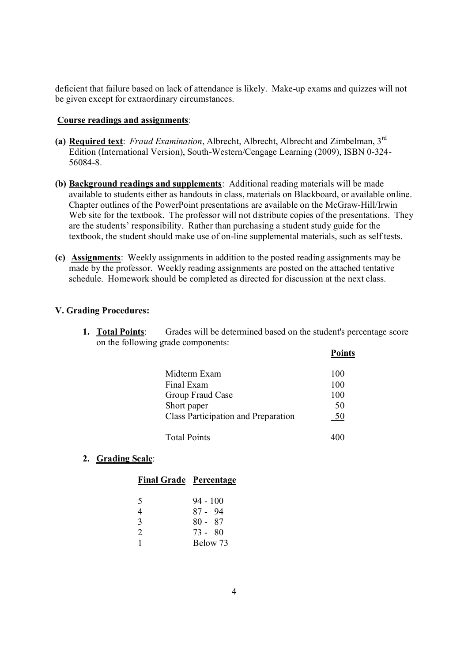deficient that failure based on lack of attendance is likely. Make-up exams and quizzes will not be given except for extraordinary circumstances.

## **Course readings and assignments**:

- **(a) Required text**: *Fraud Examination*, Albrecht, Albrecht, Albrecht and Zimbelman, 3rd Edition (International Version), South-Western/Cengage Learning (2009), ISBN 0-324- 56084-8.
- **(b) Background readings and supplements**: Additional reading materials will be made available to students either as handouts in class, materials on Blackboard, or available online. Chapter outlines of the PowerPoint presentations are available on the McGraw-Hill/Irwin Web site for the textbook. The professor will not distribute copies of the presentations. They are the students' responsibility. Rather than purchasing a student study guide for the textbook, the student should make use of on-line supplemental materials, such as self tests.
- **(c) Assignments**: Weekly assignments in addition to the posted reading assignments may be made by the professor. Weekly reading assignments are posted on the attached tentative schedule. Homework should be completed as directed for discussion at the next class.

# **V. Grading Procedures:**

**1. Total Points**: Grades will be determined based on the student's percentage score on the following grade components:

| Midterm Exam                        | 100 |
|-------------------------------------|-----|
| Final Exam                          | 100 |
| Group Fraud Case                    | 100 |
| Short paper                         | 50  |
| Class Participation and Preparation | 50  |
|                                     |     |
| <b>Total Points</b>                 |     |

**Points**

## **2. Grading Scale**:

|  |  | <b>Final Grade</b> | Percentage |
|--|--|--------------------|------------|
|--|--|--------------------|------------|

| $94 - 100$ |
|------------|
| 87 - 94    |
| $80 - 87$  |
| $73 - 80$  |
| Below 73   |
|            |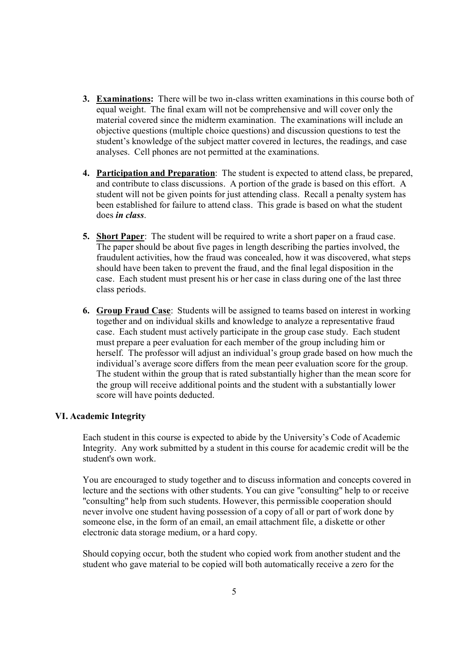- **3. Examinations:** There will be two in-class written examinations in this course both of equal weight. The final exam will not be comprehensive and will cover only the material covered since the midterm examination. The examinations will include an objective questions (multiple choice questions) and discussion questions to test the student's knowledge of the subject matter covered in lectures, the readings, and case analyses. Cell phones are not permitted at the examinations.
- **4. Participation and Preparation**: The student is expected to attend class, be prepared, and contribute to class discussions. A portion of the grade is based on this effort. A student will not be given points for just attending class. Recall a penalty system has been established for failure to attend class. This grade is based on what the student does *in class*.
- **5. Short Paper**: The student will be required to write a short paper on a fraud case. The paper should be about five pages in length describing the parties involved, the fraudulent activities, how the fraud was concealed, how it was discovered, what steps should have been taken to prevent the fraud, and the final legal disposition in the case. Each student must present his or her case in class during one of the last three class periods.
- **6. Group Fraud Case**: Students will be assigned to teams based on interest in working together and on individual skills and knowledge to analyze a representative fraud case. Each student must actively participate in the group case study. Each student must prepare a peer evaluation for each member of the group including him or herself. The professor will adjust an individual's group grade based on how much the individual's average score differs from the mean peer evaluation score for the group. The student within the group that is rated substantially higher than the mean score for the group will receive additional points and the student with a substantially lower score will have points deducted.

## **VI. Academic Integrity**

Each student in this course is expected to abide by the University's Code of Academic Integrity. Any work submitted by a student in this course for academic credit will be the student's own work.

You are encouraged to study together and to discuss information and concepts covered in lecture and the sections with other students. You can give "consulting" help to or receive "consulting" help from such students. However, this permissible cooperation should never involve one student having possession of a copy of all or part of work done by someone else, in the form of an email, an email attachment file, a diskette or other electronic data storage medium, or a hard copy.

Should copying occur, both the student who copied work from another student and the student who gave material to be copied will both automatically receive a zero for the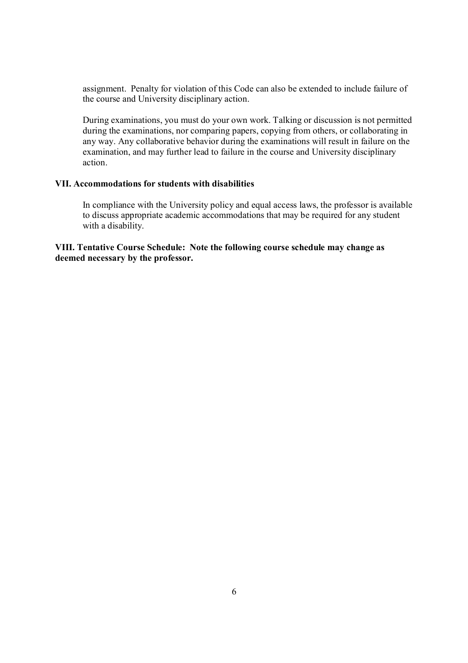assignment. Penalty for violation of this Code can also be extended to include failure of the course and University disciplinary action.

During examinations, you must do your own work. Talking or discussion is not permitted during the examinations, nor comparing papers, copying from others, or collaborating in any way. Any collaborative behavior during the examinations will result in failure on the examination, and may further lead to failure in the course and University disciplinary action.

## **VII. Accommodations for students with disabilities**

In compliance with the University policy and equal access laws, the professor is available to discuss appropriate academic accommodations that may be required for any student with a disability.

**VIII. Tentative Course Schedule: Note the following course schedule may change as deemed necessary by the professor.**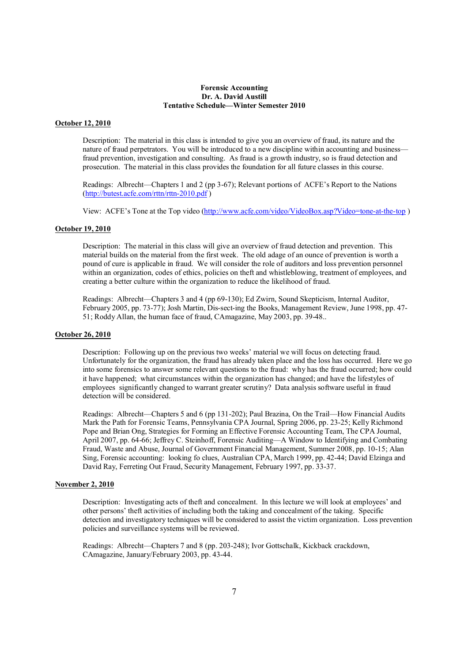#### **Forensic Accounting Dr. A. David Austill Tentative Schedule—Winter Semester 2010**

### **October 12, 2010**

Description: The material in this class is intended to give you an overview of fraud, its nature and the nature of fraud perpetrators. You will be introduced to a new discipline within accounting and business fraud prevention, investigation and consulting. As fraud is a growth industry, so is fraud detection and prosecution. The material in this class provides the foundation for all future classes in this course.

Readings: Albrecht—Chapters 1 and 2 (pp 3-67); Relevant portions of ACFE's Report to the Nations (http://butest.acfe.com/rttn/rttn-2010.pdf )

View: ACFE's Tone at the Top video (http://www.acfe.com/video/VideoBox.asp?Video=tone-at-the-top)

### **October 19, 2010**

Description: The material in this class will give an overview of fraud detection and prevention. This material builds on the material from the first week. The old adage of an ounce of prevention is worth a pound of cure is applicable in fraud. We will consider the role of auditors and loss prevention personnel within an organization, codes of ethics, policies on theft and whistleblowing, treatment of employees, and creating a better culture within the organization to reduce the likelihood of fraud.

Readings: Albrecht—Chapters 3 and 4 (pp 69-130); Ed Zwirn, Sound Skepticism, Internal Auditor, February 2005, pp. 73-77); Josh Martin, Dis-sect-ing the Books, Management Review, June 1998, pp. 47- 51; Roddy Allan, the human face of fraud, CAmagazine, May 2003, pp. 39-48..

### **October 26, 2010**

Description: Following up on the previous two weeks' material we will focus on detecting fraud. Unfortunately for the organization, the fraud has already taken place and the loss has occurred. Here we go into some forensics to answer some relevant questions to the fraud: why has the fraud occurred; how could it have happened; what circumstances within the organization has changed; and have the lifestyles of employees significantly changed to warrant greater scrutiny? Data analysis software useful in fraud detection will be considered.

Readings: Albrecht—Chapters 5 and 6 (pp 131-202); Paul Brazina, On the Trail—How Financial Audits Mark the Path for Forensic Teams, Pennsylvania CPA Journal, Spring 2006, pp. 23-25; Kelly Richmond Pope and Brian Ong, Strategies for Forming an Effective Forensic Accounting Team, The CPA Journal, April 2007, pp. 64-66; Jeffrey C. Steinhoff, Forensic Auditing—A Window to Identifying and Combating Fraud, Waste and Abuse, Journal of Government Financial Management, Summer 2008, pp. 10-15; Alan Sing, Forensic accounting: looking fo clues, Australian CPA, March 1999, pp. 42-44; David Elzinga and David Ray, Ferreting Out Fraud, Security Management, February 1997, pp. 33-37.

#### **November 2, 2010**

Description: Investigating acts of theft and concealment. In this lecture we will look at employees' and other persons' theft activities of including both the taking and concealment of the taking. Specific detection and investigatory techniques will be considered to assist the victim organization. Loss prevention policies and surveillance systems will be reviewed.

Readings: Albrecht—Chapters 7 and 8 (pp. 203-248); Ivor Gottschalk, Kickback crackdown, CAmagazine, January/February 2003, pp. 43-44.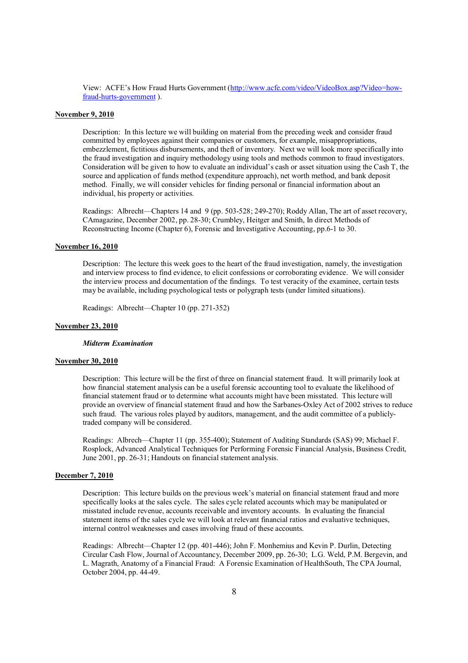View: ACFE's How Fraud Hurts Government (http://www.acfe.com/video/VideoBox.asp?Video=howfraud-hurts-government ).

#### **November 9, 2010**

Description: In this lecture we will building on material from the preceding week and consider fraud committed by employees against their companies or customers, for example, misappropriations, embezzlement, fictitious disbursements, and theft of inventory. Next we will look more specifically into the fraud investigation and inquiry methodology using tools and methods common to fraud investigators. Consideration will be given to how to evaluate an individual's cash or asset situation using the Cash T, the source and application of funds method (expenditure approach), net worth method, and bank deposit method. Finally, we will consider vehicles for finding personal or financial information about an individual, his property or activities.

Readings: Albrecht—Chapters 14 and 9 (pp. 503-528; 249-270); Roddy Allan, The art of asset recovery, CAmagazine, December 2002, pp. 28-30; Crumbley, Heitger and Smith, In direct Methods of Reconstructing Income (Chapter 6), Forensic and Investigative Accounting, pp.6-1 to 30.

#### **November 16, 2010**

Description: The lecture this week goes to the heart of the fraud investigation, namely, the investigation and interview process to find evidence, to elicit confessions or corroborating evidence. We will consider the interview process and documentation of the findings. To test veracity of the examinee, certain tests may be available, including psychological tests or polygraph tests (under limited situations).

Readings: Albrecht—Chapter 10 (pp. 271-352)

### **November 23, 2010**

### *Midterm Examination*

### **November 30, 2010**

Description: This lecture will be the first of three on financial statement fraud. It will primarily look at how financial statement analysis can be a useful forensic accounting tool to evaluate the likelihood of financial statement fraud or to determine what accounts might have been misstated. This lecture will provide an overview of financial statement fraud and how the Sarbanes-Oxley Act of 2002 strives to reduce such fraud. The various roles played by auditors, management, and the audit committee of a publiclytraded company will be considered.

Readings: Albrech—Chapter 11 (pp. 355-400); Statement of Auditing Standards (SAS) 99; Michael F. Rosplock, Advanced Analytical Techniques for Performing Forensic Financial Analysis, Business Credit, June 2001, pp. 26-31; Handouts on financial statement analysis.

#### **December 7, 2010**

Description: This lecture builds on the previous week's material on financial statement fraud and more specifically looks at the sales cycle. The sales cycle related accounts which may be manipulated or misstated include revenue, accounts receivable and inventory accounts. In evaluating the financial statement items of the sales cycle we will look at relevant financial ratios and evaluative techniques, internal control weaknesses and cases involving fraud of these accounts.

Readings: Albrecht—Chapter 12 (pp. 401-446); John F. Monhemius and Kevin P. Durlin, Detecting Circular Cash Flow, Journal of Accountancy, December 2009, pp. 26-30; L.G. Weld, P.M. Bergevin, and L. Magrath, Anatomy of a Financial Fraud: A Forensic Examination of HealthSouth, The CPA Journal, October 2004, pp. 44-49.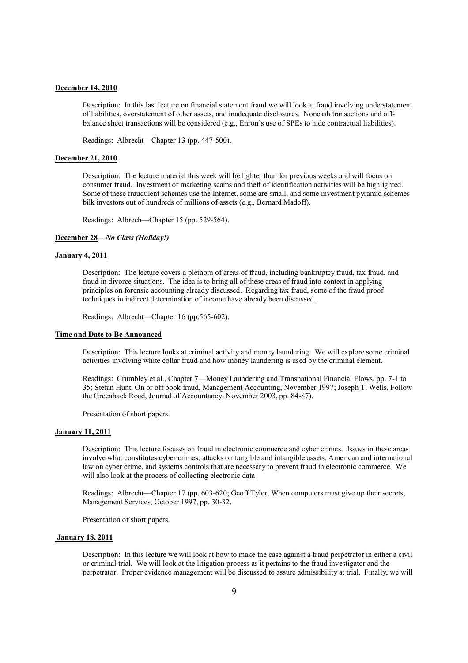#### **December 14, 2010**

Description: In this last lecture on financial statement fraud we will look at fraud involving understatement of liabilities, overstatement of other assets, and inadequate disclosures. Noncash transactions and offbalance sheet transactions will be considered (e.g., Enron's use of SPEs to hide contractual liabilities).

Readings: Albrecht—Chapter 13 (pp. 447-500).

#### **December 21, 2010**

Description: The lecture material this week will be lighter than for previous weeks and will focus on consumer fraud. Investment or marketing scams and theft of identification activities will be highlighted. Some of these fraudulent schemes use the Internet, some are small, and some investment pyramid schemes bilk investors out of hundreds of millions of assets (e.g., Bernard Madoff).

Readings: Albrech—Chapter 15 (pp. 529-564).

### **December 28**—*No Class (Holiday!)*

### **January 4, 2011**

Description: The lecture covers a plethora of areas of fraud, including bankruptcy fraud, tax fraud, and fraud in divorce situations. The idea is to bring all of these areas of fraud into context in applying principles on forensic accounting already discussed. Regarding tax fraud, some of the fraud proof techniques in indirect determination of income have already been discussed.

Readings: Albrecht—Chapter 16 (pp.565-602).

## **Time and Date to Be Announced**

Description: This lecture looks at criminal activity and money laundering. We will explore some criminal activities involving white collar fraud and how money laundering is used by the criminal element.

Readings: Crumbley et al., Chapter 7—Money Laundering and Transnational Financial Flows, pp. 7-1 to 35; Stefan Hunt, On or off book fraud, Management Accounting, November 1997; Joseph T. Wells, Follow the Greenback Road, Journal of Accountancy, November 2003, pp. 84-87).

Presentation of short papers.

#### **January 11, 2011**

Description: This lecture focuses on fraud in electronic commerce and cyber crimes. Issues in these areas involve what constitutes cyber crimes, attacks on tangible and intangible assets, American and international law on cyber crime, and systems controls that are necessary to prevent fraud in electronic commerce. We will also look at the process of collecting electronic data

Readings: Albrecht—Chapter 17 (pp. 603-620; Geoff Tyler, When computers must give up their secrets, Management Services, October 1997, pp. 30-32.

Presentation of short papers.

## **January 18, 2011**

Description: In this lecture we will look at how to make the case against a fraud perpetrator in either a civil or criminal trial. We will look at the litigation process as it pertains to the fraud investigator and the perpetrator. Proper evidence management will be discussed to assure admissibility at trial. Finally, we will